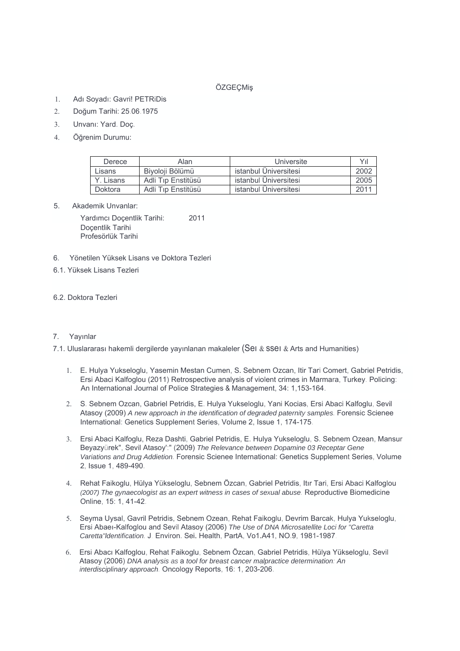# ÖZGEÇMiş

- 1. Adı Soyadı: Gavri! PETRiDis
- 2. Doğum Tarihi: 25.06.1975
- 3. Unvanı: Yard. Doç.
- 4. Öğrenim Durumu:

| Derece    | Alan               | Universite            | Yıl  |
|-----------|--------------------|-----------------------|------|
| Lisans    | Biyoloji Bölümü    | istanbul Üniversitesi | 2002 |
| Y. Lisans | Adli Tip Enstitüsü | istanbul Üniversitesi | 2005 |
| Doktora   | Adli Tıp Enstitüsü | istanbul Üniversitesi | 2011 |

5. Akademik Unvanlar:

 Yardımcı Doçentlik Tarihi: 2011 Doçentlik Tarihi Profesörlük Tarihi

- 6. Yönetilen Yüksek Lisans ve Doktora Tezleri
- 6.1. Yüksek Lisans Tezleri

# 6.2. Doktora Tezleri

### 7. Yayınlar

7.1. Uluslararası hakemli dergilerde yayınlanan makaleler (Sei & SSei & Arts and Humanities)

- 1. E. Hulya Yukseloglu, Yasemin Mestan Cumen, S. Sebnem Ozcan, Itir Tari Comert, Gabriel Petridis, Ersi Abaci Kalfoglou (2011) Retrospective analysis of violent crimes in Marmara, Turkey. Policing: An International Journal of Police Strategies & Management, 34: 1,153-164.
- 2. S. Sebnem Ozcan, Gabriel Petridis, E. Hulya Yukseloglu, Yani Kocias, Ersi Abaci Kalfoglu, Sevil Atasoy (2009) *A new approach in the identification of degraded paternity samples.* Forensic Scienee International: Genetics Supplement Series, Volume 2, Issue 1, 174-175.
- 3. Ersi Abaci Kalfoglu, Reza Dashti, Gabriel Petridis, E. Hulya Yukseloglu, S. Sebnem Ozean, Mansur Beyazyürek", Sevil Atasoy':" (2009) *The Relevance between Dopamine 03 Receptar Gene Variations and Drug Addietion.* Forensic Scienee International: Genetics Supplement Series, Volume 2, Issue 1, 489-490.
- 4. Rehat Faikoglu, Hülya Yükseloglu, Sebnem Özcan, Gabriel Petridis, Itır Tari, Ersi Abaci Kalfoglou *(2007) The gynaecologist as an expert witness in cases of sexual abuse.* Reproductive Biomedicine Online, 15: 1, 41-42.
- 5. Seyma Uysal, Gavril Petridis, Sebnem Ozean, Rehat Faikoglu, Devrim Barcak, Hulya Yukseloglu, Ersi Abaeı-Kalfoglou and Sevil Atasoy (2006) *The Use of DNA Microsatellite Loci for "Caretta Caretta"ldentification.* J. Environ. Sei. Health, PartA, Vo1.A41, NO.9, 1981-1987.
- 6. Ersi Abacı Kalfoglou, Rehat Faikoglu, Sebnem Özcan, Gabriel Petridis, Hülya Yükseloglu, Sevil Atasoy (2006) *DNA analysis as* a *tool for breast cancer malpractice determination: An interdisciplinary approach.* Oncology Reports, 16: 1, 203-206.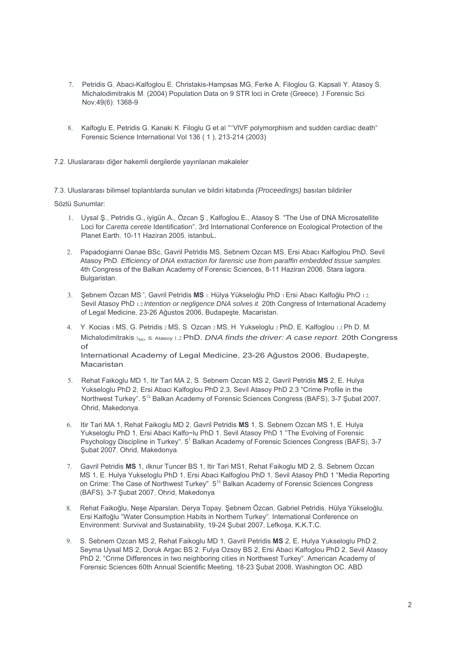- 7. Petridis G, Abaci-Kalfoglou E, Christakis-Hampsas MG, Ferke A, Filoglou G, Kapsali Y, Atasoy S, Michalodimitrakis M. (2004) Population Data on 9 STR loci in Crete (Greece). J Forensic Sci. Nov;49(6): 1368-9.
- 8. Kalfoglu E, Petridis G, Kanaki K. Filoglu G et al ''''VlVF polymorphism and sudden cardiac death" Forensic Science International Vol 136 ( 1 ), 213-214 (2003)

7.2. Uluslararası diğer hakemli dergilerde yayınlanan makaleler

7.3. Uluslararası bilimsel toplantılarda sunulan ve bildiri kitabında *(Proceedings)* basılan bildiriler

Sözlü Sunumlar:

- 1. Uysal Ş., Petridis G., iyigün A., Özcan Ş., Kalfoglou E., Atasoy S. "The Use of DNA Microsatellite Loci for *Caretta ceretie* Identification", 3rd International Conference on Ecological Protection of the Planet Earth, 10-11 Haziran 2005, istanbuL.
- 2. Papadogianni Oanae BSc, Gavril Petridis MS, Sebnem Ozcan MS, Ersi Abacı Kalfoglou PhD, Sevil Atasoy PhD. *Efficiency of DNA extraction for farensic use from paraffin embedded tissue samples.*  4th Congress of the Balkan Academy of Forensic Sciences, 8-11 Haziran 2006, Stara lagora, Bulgaristan.
- 3. Şebnem Özcan MS ', Gavril Petridis **MS** 1, Hülya Yükseloğlu PhD 1 Ersi Abacı Kalfoğlu PhO 1.2, Sevil Atasoy PhD 1,2 *Intention or negligence:DNA solves it.* 20th Congress of International Academy of Legal Medicine, 23-26 Ağustos 2006, Budapeşte, Macaristan.
- 4. Y. Kocias 1 MS, G. Petridis 2 MS, S. Ozcan 2 MS, H. Yukseloglu 2 PhD, E. Kalfoglou 1,2 Ph D, M. Michalodimitrakis 3<sub>MO</sub>, S. Atasoy 1,2 PhD. *DNA finds the driver: A case report.* 20th Congress of International Academy of Legal Medicine, 23-26 Ağustos 2006, Budapeşte, Macaristan.
- 5. Rehat Faikoglu MD 1, Itir Tari MA 2, S. Sebnem Ozcan MS 2, Gavril Petridis **MS** 2, E. Hulya Yukseloglu PhD 2, Ersi Abaci Kalfoglou PhD 2,3, Sevil Atasoy PhD 2,3 "Crime Profile in the Northwest Turkey". 5<sup>1h</sup> Balkan Academy of Forensic Sciences Congress (BAFS), 3-7 Şubat 2007, Ohrid, Makedonya.
- 6. Itir Tari MA 1, Rehat Faikoglu MD 2, Gavril Petridis **MS** 1, S. Sebnem Ozcan MS 1, E. Hulya Yukseloglu PhD 1, Ersi Abaci Kalfo~lu PhD 1, Sevil Atasoy PhD 1 "The Evolving of Forensic Psychology Discipline in Turkey". 5<sup>1</sup> Balkan Academy of Forensic Sciences Congress (BAFS), 3-7 Şubat 2007, Ohrid, Makedonya.
- 7. Gavril Petridis **MS** 1, ılknur Tuncer BS 1, Itir Tari MS1, Rehat Faikoglu MD 2, S. Sebnem Ozcan MS 1, E. Hulya Yukseloglu PhD 1, Ersi Abaci Kalfoglou PhD 1, Sevil Atasoy PhD 1 "Media Reporting on Crime: The Case of Northwest Turkey".  $5<sup>1h</sup>$  Balkan Academy of Forensic Sciences Congress (BAFS), 3-7 Şubat 2007, Ohrid, Makedonya.
- 8. Rehat Faikoğlu, Neşe Alparslan, Derya Topay, Şebnem Özcan, Gabriel Petridis, Hülya Yükseloğlu, Ersi Kalfoğlu "Water Consumption Habits in Northern Turkey". International Conference on Environment: Survival and Sustainability, 19-24 Şubat 2007, Lefkoşa, K.K.T.C.
- 9. S. Sebnem Ozcan MS 2, Rehat Faikoglu MD 1, Gavril Petridis **MS** 2, E. Hulya Yukseloglu PhD 2, Seyma Uysal MS 2, Doruk Argac BS 2, Fulya Ozsoy BS 2, Ersi Abaci Kalfoglou PhD 2, Sevil Atasoy PhD 2, "Crime Differences in two neighboring cities in Northwest Turkey". American Academy of Forensic Sciences 60th Annual Scientific Meeting, 18-23 Şubat 2008, Washington OC, ABD.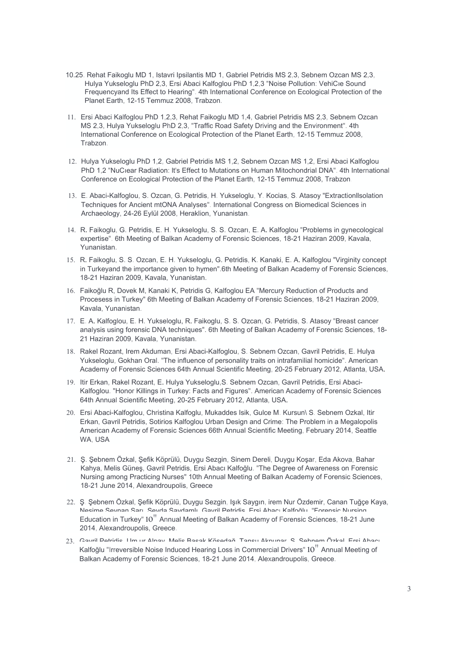- 10.25. Rehat Faikoglu MD 1, Istavri Ipsilantis MD 1, Gabriel Petridis MS 2,3, Sebnem Ozcan MS 2,3, Hulya Yukseloglu PhD 2,3, Ersi Abaci Kalfoglou PhD 1,2,3 "Noise Pollution: VehiCıe Sound Frequencyand Its Effect to Hearing". 4th International Conference on Ecological Protection of the Planet Earth, 12-15 Temmuz 2008, Trabzon.
- 11. Ersi Abaci Kalfoglou PhD 1,2,3, Rehat Faikoglu MD 1,4, Gabriel Petridis MS 2,3, Sebnem Ozcan MS 2,3, Hulya Yukseloglu PhD 2,3, "Traffic Road Safety Driving and the Environment". 4th International Conference on Ecological Protection of the Planet Earth, 12-15 Temmuz 2008, Trabzon.
- 12. Hulya Yukseloglu PhD 1,2, Gabriel Petridis MS 1,2, Sebnem Ozcan MS 1,2, Ersi Abaci Kalfoglou PhD 1,2 "NuCiear Radiation: It's Effect to Mutations on Human Mitochondrial DNA". 4th International Conference on Ecological Protection of the Planet Earth, 12-15 Temmuz 2008, Trabzon.
- 13. E. Abaci-Kalfoglou, S. Ozcan, G. Petridis, H. Yukseloglu, Y. Kocias, S. Atasoy "Extractionllsolation Techniques for Ancient mtONA Analyses". International Congress on Biomedical Sciences in Archaeology, 24-26 Eylül 2008, Heraklion, Yunanistan.
- 14. R. Faikoglu, G. Petridis, E. H. Yukseloglu, S. S. Ozcarı, E. A. Kalfoglou "Problems in gynecological expertise". 6th Meeting of Balkan Academy of Forensic Sciences, 18-21 Haziran 2009, Kavala, Yunanistan.
- 15. R. Faikoglu, S. S. Ozcan, E. H. Yukseloglu, G. Petridis, K. Kanaki, E. A. Kalfoglou "Virginity concept in Turkeyand the importance given to hymen".6th Meeting of Balkan Academy of Forensic Sciences, 18-21 Haziran 2009, Kavala, Yunanistan.
- 16. Faikoğlu R, Dovek M, Kanaki K, Petridis G, Kalfoglou EA "Mercury Reduction of Products and Procesess in Turkey" 6th Meeting of Balkan Academy of Forensic Sciences, 18-21 Haziran 2009, Kavala, Yunanistan.
- 17. E. A. Kalfoglou, E. H. Yukseloglu, R. Faikoglu, S. S. Ozcan, G. Petridis, S. Atasoy "Breast cancer analysis using forensic DNA techniques". 6th Meeting of Balkan Academy of Forensic Sciences, 18- 21 Haziran 2009, Kavala, Yunanistan.
- 18. Rakel Rozant, Irem Akduman, Ersi Abaci-Kalfoglou, S. Sebnem Ozcan, Gavril Petridis, E. Hulya Yukseloglu, Gokhan Oral. "The influence of personality traits on intrafamilial homicide". American Academy of Forensic Sciences 64th Annual Scientific Meeting, 20-25 February 2012, Atlanta, USA.
- 19. Itir Erkan, Rakel Rozant, E. Hulya Yukseloglu,S. Sebnem Ozcan, Gavril Petridis, Ersi Abaci-Kalfoglou. "Honor Killings in Turkey: Facts and Figures". American Academy of Forensic Sciences 64th Annual Scientific Meeting, 20-25 February 2012, Atlanta, USA.
- 20. Ersi Abaci-Kalfoglou, Christina Kalfoglu, Mukaddes Isik, Gulce M. Kursun\ S. Sebnem Ozkal, Itir Erkan, Gavril Petridis, Sotirios Kalfoglou Urban Design and Crime: The Problem in a Megalopolis American Academy of Forensic Sciences 66th Annual Scientific Meeting, February 2014, Seattle WA, USA
- 21. Ş. Şebnem Özkal, Şefik Köprülü, Duygu Sezgin, Sinem Dereli, Duygu Koşar, Eda Akova, Bahar Kahya, Melis Güneş, Gavril Petridis, Ersi Abacı Kalfoğlu. "The Degree of Awareness on Forensic Nursing among Practicing Nurses" 10th Annual Meeting of Balkan Academy of Forensic Sciences, 18-21 June 2014, Alexandroupolis, Greece
- 22. Ş. Şebnem Özkal, Şefik Köprülü, Duygu Sezgin, Işık Saygın, irem Nur Özdemir, Canan Tuğçe Kaya, Nesime Seynan Sarı, Şeyda Saydamlı, Gavril Petridis, Ersi Abacı Kalfoğlu. "Forensic Nursing Education in Turkey"  $10''$  Annual Meeting of Balkan Academy of Forensic Sciences, 18-21 June 2014, Alexandroupolis, Greece.
- 23. Gavril Petridis, Um ur Alpay, Melis Başak Kösedağ, Tansu Akpunar, Ş. Şebnem Özkal, Ersi Abacı Kalfoğlu "Irreversible Noise Induced Hearing Loss in Commercial Drivers" 10<sup>"</sup> Annual Meeting of Balkan Academy of Forensic Sciences, 18-21 June 2014, Alexandroupolis, Greece.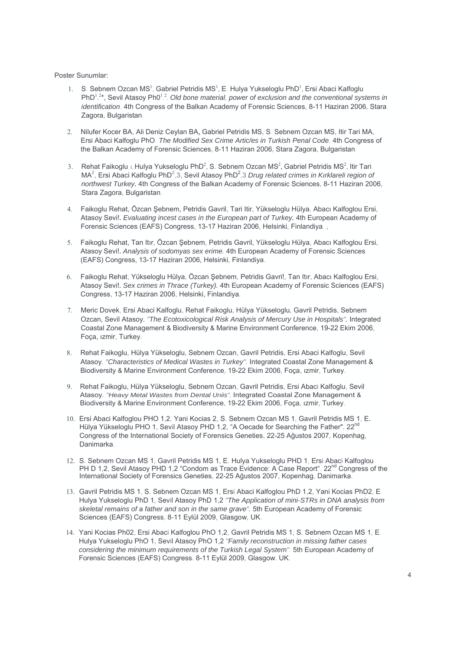Poster Sunumlar:

- 1. S. Sebnem Ozcan MS<sup>1</sup>, Gabriel Petridis MS<sup>1</sup>, E. Hulya Yukseloglu PhD<sup>1</sup>, Ersi Abaci Kalfoglu PhD<sup>1,2\*</sup>, Sevil Atasoy Ph0<sup>1,2</sup>. Old bone material, power of exclusion and the conventional systems in *identification.* 4th Congress of the Balkan Academy of Forensic Sciences, 8-11 Haziran 2006, Stara Zagora, Bulgaristan.
- 2. Nilufer Kocer BA, Ali Deniz Ceylan BA, Gabriel Petridis MS, S. Sebnem Ozcan MS, Itir Tari MA, Ersi Abaci Kalfoglu PhO. *The Modified Sex Crime Artic/es in Turkish Penal Code.* 4th Congress of the Balkan Academy of Forensic Sciences, 8-11 Haziran 2006, Stara Zagora, Bulgaristan.
- 3. Rehat Faikoglu 1, Hulya Yukseloglu PhD<sup>2</sup>, S. Sebnem Ozcan MS<sup>2</sup>, Gabriel Petridis MS<sup>2</sup>, Itir Tari MA<sup>2</sup>, Ersi Abaci Kalfoglu PhD<sup>2</sup>,3, Sevil Atasoy PhD<sup>2</sup>,3 Drug related crimes in Kırklareli region of *northwest Turkey.* 4th Congress of the Balkan Academy of Forensic Sciences, 8-11 Haziran 2006, Stara Zagora, Bulgaristan.
- 4. Faikoglu Rehat, Özcan Şebnem, Petridis Gavril, Tari Itir, Yükseloglu Hülya, Abacı Kalfoglou Ersi, Atasoy Sevi!. *EvaIuating incest cases in the European part of Turkey.* 4th European Academy of Forensic Sciences (EAFS) Congress, 13-17 Haziran 2006, Helsinki, Finlandiya. ,
- 5. Faikoglu Rehat, Tan Itır, Özcan Şebnem, Petridis Gavril, Yükseloglu Hülya, Abacı Kalfoglou Ersi, Atasoy Sevi!. *Analysis of sodomyas sex erime.* 4th European Academy of Forensic Sciences (EAFS) Congress, 13-17 Haziran 2006, Helsinki, Finlandiya.
- 6. Faikoglu Rehat, Yükseloglu Hülya, Özcan Şebnem, Petridis Gavri!, Tan Itır, Abacı Kalfoglou Ersi, Atasoy Sevi!. *Sex crimes in Thrace (Turkey).* 4th European Academy of Forensic Sciences (EAFS) Congress, 13-17 Haziran 2006, Helsinki, Finlandiya.
- 7. Meric Dovek, Ersi Abaci Kalfoglu, Rehat Faikoglu, Hülya Yükseloglu, Gavril Petridis, Sebnem Ozcan, Sevil Atasoy. *"The Ecotoxicological Risk Analysis of Mercury Use in Hospitals".* Integrated Coastal Zone Management & Biodiversity & Marine Environment Conference, 19-22 Ekim 2006, Foça, ızmir, Turkey.
- 8. Rehat Faikoglu, Hülya Yükseloglu, Sebnem Ozcan, Gavril Petridis, Ersi Abaci Kalfoglu, Sevil Atasoy. *"Characteristics of Medical Wastes in Turkey".* Integrated Coastal Zone Management & Biodiversity & Marine Environment Conference, 19-22 Ekim 2006, Foça, ızmir, Turkey.
- 9. Rehat Faikoglu, Hülya Yükseloglu, Sebnem Ozcan, Gavril Petridis, Ersi Abaci Kalfoglu, Sevil Atasoy. *"Heavy Metal Wastes from Dental Urıiis".* Integrated Coastal Zone Management & Biodiversity & Marine Environment Conference, 19-22 Ekim 2006, Foça, ızmir, Turkey.
- 10. Ersi Abaci Kalfoglou PHO 1,2, Yani Kocias 2, S. Sebnem Ozcan MS 1, Gavril Petridis MS 1, E. Hülya Yükseloglu PHO 1, Sevil Atasoy PHD 1,2, "A Oecade for Searching the Father". 22<sup>nd</sup> Congress of the International Society of Forensics Geneties, 22-25 Ağustos 2007, Kopenhag, Danimarka.
- 12. S. Sebnem Ozcan MS 1, Gavril Petridis MS 1, E. Hulya Yukseloglu PHD 1, Ersi Abaci Kalfoglou PH D 1,2, Sevil Atasoy PHD 1,2 "Condom as Trace Evidence: A Case Report". 22<sup>nd</sup> Congress of the International Society of Forensics Geneties, 22-25 Ağustos 2007, Kopenhag, Danimarka.
- 13. Gavril Petridis MS 1, S. Sebnem Ozcan MS 1, Ersi Abaci Kalfoglou PhD 1,2, Yani Kocias PhD2, E. Hulya Yukseloglu PhD 1, Sevil Atasoy PhD 1,2 *"The Application of mini-STRs in DNA analysis from skeletal remains of* a *father and son in the same grave".* 5th European Academy of Forensic Sciences (EAFS) Congress, 8-11 Eylül 2009, Glasgow, UK.
- 14. Yani Kocias Ph02, Ersi Abaci Kalfoglou PhO 1,2, Gavril Petridis MS 1, S. Sebnem Ozcan MS 1, E. Hulya Yukseloglu PhO 1, Sevil Atasoy PhO 1,2 *"Family reconstruction in missing father cases considering the minimum requirements of the Turkish Legal System".* 5th European Academy of Forensic Sciences (EAFS) Congress. 8-11 Eylül 2009, Glasgow. UK.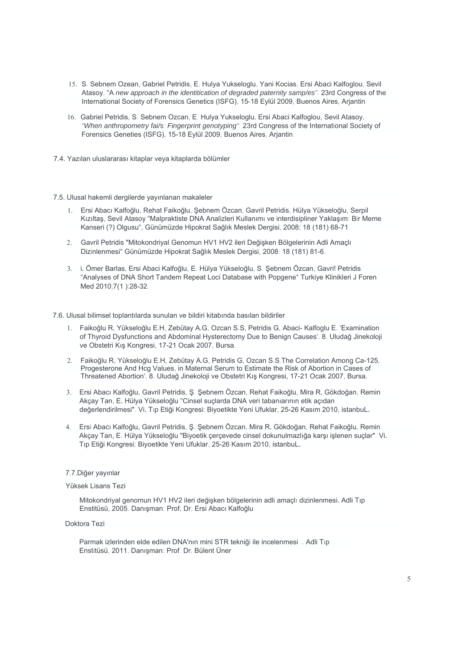- 15. S. Sebnem Ozean, Gabriel Petridis, E. Hulya Yukseloglu, Yani Kocias, Ersi Abaci Kalfoglou, Sevil Atasoy. "A *new approach in the identitication of degraded paternity samp/es".* 23rd Congress of the International Society of Forensics Genetics (ISFG), 15-18 Eylül 2009, Buenos Aires, Arjantin.
- 16. Gabriel Petridis, S. Sebnem Ozcan, E. Hulya Yukseloglu, Ersi Abaci Kalfoglou, Sevil Atasoy. *"When anthropometry fai/s: Fingerprint genotyping".* 23rd Congress of the International Society of Forensics Geneties (ISFG), 15-18 Eylül 2009, Buenos Aires, Arjantin.
- 7.4. Yazılan uluslararası kitaplar veya kitaplarda bölümler

#### 7.5. Ulusal hakemli dergilerde yayınlanan makaleler

- 1. Ersi Abacı Kalfoğlu, Rehat Faikoğlu, Şebnem Özcan, Gavril Petridis, Hülya Yükseloğlu, Serpil Kızıltaş, Sevil Atasoy "Malpraktiste DNA Analizleri Kullanımı ve interdisipliner Yaklaşım: Bir Meme Kanseri (?) Olgusu", Günümüzde Hipokrat Sağlık Meslek Dergisi, 2008: 18 (181) 68-71.
- 2. Gavril Petridis "Mitokondriyal Genomun HV1 HV2 ileri Değişken Bölgelerinin Adli Amaçlı Dizinlenmesi" Günümüzde Hipokrat Sağlık Meslek Dergisi, 2008: 18 (181) 81-6.
- 3. i. Ömer Barlas, Ersi Abaci Kalfoğlu, E. Hülya Yükseloğlu, S. Şebnem Özcan, Gavri! Petridis "Analyses of DNA Short Tandem Repeat Loci Database with Popgene" Turkiye Klinikleri J Foren Med 2010;7(1 ):28-32.

7.6. Ulusal bilimsel toplantılarda sunulan ve bildiri kitabında basılan bildiriler

- 1. Faikoğlu R, Yükseloğlu E.H, Zebütay A.G, Ozcan S.S, Petridis G, Abaci- Kalfoglu E. 'Examination of Thyroid Dysfunctions and Abdominal Hysterectomy Due to Benign Causes'. 8. Uludağ Jinekoloji ve Obstetri Kış Kongresi, 17-21 Ocak 2007, Bursa.
- 2. Faikoğlu R, Yükseloğlu E.H, Zebütay A.G, Petridis G, Ozcan S.S.The Correlation Among Ca-125, Progesterone And Hcg Values, in Maternal Serum to Estimate the Risk of Abortion in Cases of Threatened Abortion'. 8. Uludağ Jinekoloji ve Obstetri Kış Kongresi, 17-21 Ocak 2007, Bursa.
- 3. Ersi Abacı Kalfoğlu, Gavril Petridis, Ş. Şebnem Özcan, Rehat Faikoğlu, Mira R. Gökdoğan, Remin Akçay Tan, E. Hülya Yükseloğlu "Cinsel suçlarda DNA veri tabanıarının etik açıdan değerlendirilmesi". Vi. Tıp Etiği Kongresi: Biyoetikte Yeni Ufuklar, 25-26 Kasım 2010, istanbuL.
- 4. Ersi Abacı Kalfoğlu, Gavril Petridis, Ş. Şebnem Özcan, Mira R. Gökdoğan, Rehat Faikoğlu, Remin Akçay Tan, E. Hülya Yükseloğlu "Biyoetik çerçevede cinsel dokunulmazlığa karşı işlenen suçlar". Vi. Tıp Etiği Kongresi: Biyoetikte Yeni Ufuklar, 25-26 Kasım 2010, istanbuL.

### 7.7.Diğer yayınlar

#### Yüksek Lisans Tezi

Mitokondriyal genomun HV1 HV2 ileri değişken bölgelerinin adli amaçlı dizinlenmesi. Adli Tıp Enstitüsü, 2005. Danışman: Prof. Dr. Ersi Abacı Kalfoğlu

Doktora Tezi

Parmak izlerinden elde edilen DNA'nın mini STR tekniği ile incelenmesi .. Adli Tıp Enstitüsü, 2011. Danışman: Prof. Dr. Bülent Üner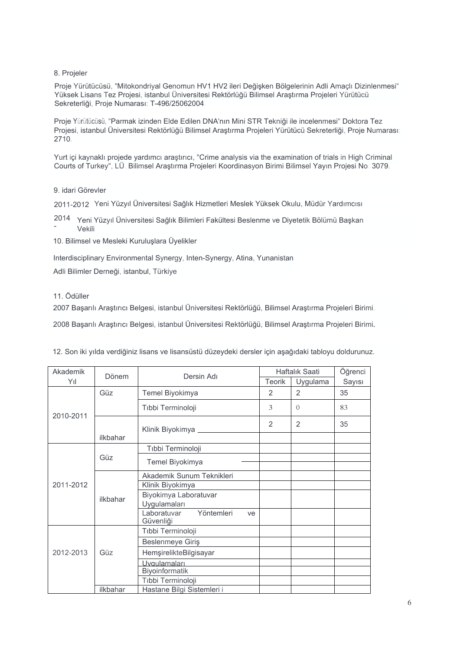# 8. Projeler

Proje Yürütücüsü, "Mitokondriyal Genomun HV1 HV2 ileri Değişken Bölgelerinin Adli Amaçlı Dizinlenmesi" Yüksek Lisans Tez Projesi, istanbul Üniversitesi Rektörlüğü Bilimsel Araştırma Projeleri Yürütücü Sekreterliği, Proje Numarası: T-496/25062004.

Proje Yürütücüsü, "Parmak izinden Elde Edilen DNA'nın Mini STR Tekniği ile incelenmesi" Doktora Tez Projesi, istanbul Üniversitesi Rektörlüğü Bilimsel Araştırma Projeleri Yürütücü Sekreterliği, Proje Numarası: 2710.

Yurt içi kaynaklı projede yardımcı araştırıcı, "Crime analysis via the examination of trials in High Criminal Courts of Turkey", LÜ. Bilimsel Araştırma Projeleri Koordinasyon Birimi Bilimsel Yayın Projesi No. 3079.

### 9. idari Görevler

2011-2012 Yeni Yüzyıl Üniversitesi Sağlık Hizmetleri Meslek Yüksek Okulu, Müdür Yardımcısı

2014 Yeni Yüzyıl Üniversitesi Sağlık Bilimleri Fakültesi Beslenme ve Diyetetik Bölümü Başkan Vekili -

10. Bilimsel ve Mesleki Kuruluşlara Üyelikler

Interdisciplinary Environmental Synergy, Inten-Synergy, Atina, Yunanistan

Adli Bilimler Derneği, istanbul, Türkiye

## 11. Ödüller

2007 Başarılı Araştırıcı Belgesi, istanbul Üniversitesi Rektörlüğü, Bilimsel Araştırma Projeleri Birimi.

2008 Başarılı Araştırıcı Belgesi, istanbul Üniversitesi Rektörlüğü, Bilimsel Araştırma Projeleri Birimi.

| 12. Son iki yılda verdiğiniz lisans ve lisansüstü düzeydeki dersler için aşağıdaki tabloyu doldurunuz. |
|--------------------------------------------------------------------------------------------------------|
|--------------------------------------------------------------------------------------------------------|

| Akademik  | Dönem    | Dersin Adı                                   | Haftalık Saati |                | Öğrenci |
|-----------|----------|----------------------------------------------|----------------|----------------|---------|
| Yıl       |          |                                              | Teorik         | Uygulama       | Sayısı  |
| 2010-2011 | Güz      | Temel Biyokimya                              | $\overline{2}$ | $\overline{2}$ | 35      |
|           |          | Tıbbi Terminoloji                            | 3              | $\Omega$       | 83      |
|           |          | Klinik Biyokimya _______                     | $\overline{2}$ | 2              | 35      |
|           | ilkbahar |                                              |                |                |         |
| 2011-2012 | Güz      | Tıbbi Terminoloji                            |                |                |         |
|           |          | Temel Biyokimya                              |                |                |         |
|           | ilkbahar | Akademik Sunum Teknikleri                    |                |                |         |
|           |          | Klinik Biyokimya                             |                |                |         |
|           |          | Biyokimya Laboratuvar                        |                |                |         |
|           |          | Uygulamaları                                 |                |                |         |
|           |          | Laboratuvar<br>Yöntemleri<br>ve<br>Güvenliği |                |                |         |
| 2012-2013 | Güz      | Tıbbi Terminoloji                            |                |                |         |
|           |          | Beslenmeye Giriş                             |                |                |         |
|           |          | HemşirelikteBilgisayar                       |                |                |         |
|           |          | Uvgulamaları                                 |                |                |         |
|           |          | Biyoinformatik                               |                |                |         |
|           |          | Tıbbi Terminoloji                            |                |                |         |
|           | ilkbahar | Hastane Bilgi Sistemleri i                   |                |                |         |